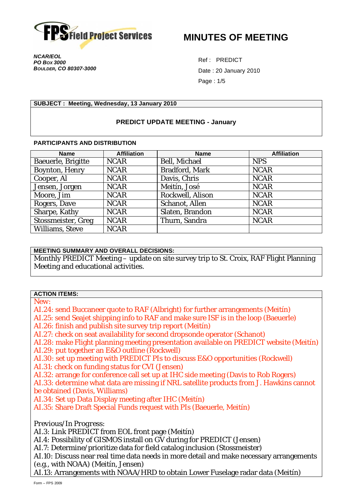

**MINUTES OF MEETING** 

*NCAR/EOL PO BOX 3000 BOULDER, CO 80307-3000* 

Ref : PREDICT Date : 20 January 2010 Page : 1/5

#### **SUBJECT : Meeting, Wednesday, 13 January 2010**

#### **PREDICT UPDATE MEETING - January**

#### **PARTICIPANTS AND DISTRIBUTION**

| <b>Name</b>        | <b>Affiliation</b> | <b>Name</b>      | <b>Affiliation</b> |
|--------------------|--------------------|------------------|--------------------|
| Baeuerle, Brigitte | <b>NCAR</b>        | Bell, Michael    | <b>NPS</b>         |
| Boynton, Henry     | <b>NCAR</b>        | Bradford, Mark   | <b>NCAR</b>        |
| Cooper, Al         | <b>NCAR</b>        | Davis, Chris     | <b>NCAR</b>        |
| Jensen, Jorgen     | <b>NCAR</b>        | Meitín, José     | <b>NCAR</b>        |
| Moore, Jim         | <b>NCAR</b>        | Rockwell, Alison | <b>NCAR</b>        |
| Rogers, Dave       | <b>NCAR</b>        | Schanot, Allen   | <b>NCAR</b>        |
| Sharpe, Kathy      | <b>NCAR</b>        | Slaten, Brandon  | <b>NCAR</b>        |
| Stossmeister, Greg | <b>NCAR</b>        | Thurn, Sandra    | <b>NCAR</b>        |
| Williams, Steve    | <b>NCAR</b>        |                  |                    |

## **MEETING SUMMARY AND OVERALL DECISIONS:**

Monthly PREDICT Meeting – update on site survey trip to St. Croix, RAF Flight Planning Meeting and educational activities.

#### **ACTION ITEMS:**

*New:* 

AI.24: send Buccaneer quote to RAF (Albright) for further arrangements (Meitín)

AI.25: send Seajet shipping info to RAF and make sure ISF is in the loop (Baeuerle)

AI.26: finish and publish site survey trip report (Meitín)

AI.27: check on seat availability for second dropsonde operator (Schanot)

AI.28: make Flight planning meeting presentation available on PREDICT website (Meitín)

AI.29: put together an E&O outline (Rockwell)

AI.30: set up meeting with PREDICT PIs to discuss E&O opportunities (Rockwell)

AI.31: check on funding status for CVI (Jensen)

AI.32: arrange for conference call set up at IHC side meeting (Davis to Rob Rogers)

AI.33: determine what data are missing if NRL satellite products from J. Hawkins cannot be obtained (Davis, Williams)

AI.34: Set up Data Display meeting after IHC (Meitín)

AI.35: Share Draft Special Funds request with PIs (Baeuerle, Meitín)

*Previous/In Progress:* 

AI.3: Link PREDICT from EOL front page (Meitín)

AI.4: Possibility of GISMOS install on GV during for PREDICT (Jensen)

AI.7: Determine/prioritize data for field catalog inclusion (Stossmeister)

AI.10: Discuss near real time data needs in more detail and make necessary arrangements (e.g., with NOAA) (Meitín, Jensen)

AI.13: Arrangements with NOAA/HRD to obtain Lower Fuselage radar data (Meitín)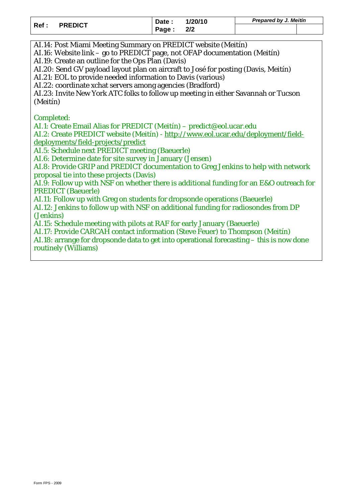|  |              |           | Date: 1/20/10 | <b>Prepared by J. Meitin</b> |  |
|--|--------------|-----------|---------------|------------------------------|--|
|  | Ref: PREDICT | Page: 2/2 |               |                              |  |

AI.14: Post Miami Meeting Summary on PREDICT website (Meitín)

AI.16: Website link – go to PREDICT page, not OFAP documentation (Meitín)

AI.19: Create an outline for the Ops Plan (Davis)

AI.20: Send GV payload layout plan on aircraft to José for posting (Davis, Meitín)

AI.21: EOL to provide needed information to Davis (various)

AI.22: coordinate xchat servers among agencies (Bradford)

AI.23: Invite New York ATC folks to follow up meeting in either Savannah or Tucson (Meitín)

*Completed:* 

AI.1: Create Email Alias for PREDICT (Meitín) – predict@eol.ucar.edu

AI.2: Create PREDICT website (Meitín) - http://www.eol.ucar.edu/deployment/fielddeployments/field-projects/predict

AI.5: Schedule next PREDICT meeting (Baeuerle)

AI.6: Determine date for site survey in January (Jensen)

AI.8: Provide GRIP and PREDICT documentation to Greg Jenkins to help with network proposal tie into these projects (Davis)

AI.9: Follow up with NSF on whether there is additional funding for an E&O outreach for PREDICT (Baeuerle)

AI.11: Follow up with Greg on students for dropsonde operations (Baeuerle)

AI.12: Jenkins to follow up with NSF on additional funding for radiosondes from DP (Jenkins)

AI.15: Schedule meeting with pilots at RAF for early January (Baeuerle)

AI.17: Provide CARCAH contact information (Steve Feuer) to Thompson (Meitín)

AI.18: arrange for dropsonde data to get into operational forecasting – this is now done routinely (Williams)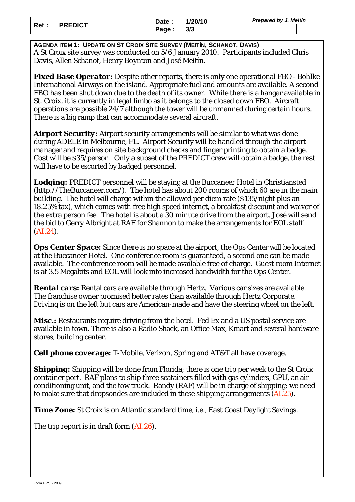| Ref : |                | Date : | 1/20/10 | <b>Prepared by J. Meitin</b> |  |
|-------|----------------|--------|---------|------------------------------|--|
|       | <b>PREDICT</b> | Page:  | 3/3     |                              |  |

**AGENDA ITEM 1: UPDATE ON ST CROIX SITE SURVEY (MEITÍN, SCHANOT, DAVIS)**  A St Croix site survey was conducted on 5/6 January 2010. Participants included Chris Davis, Allen Schanot, Henry Boynton and José Meitín.

*Fixed Base Operator:* Despite other reports, there is only one operational FBO - Bohlke International Airways on the island. Appropriate fuel and amounts are available. A second FBO has been shut down due to the death of its owner. While there is a hangar available in St. Croix, it is currently in legal limbo as it belongs to the closed down FBO. Aircraft operations are possible 24/7 although the tower will be unmanned during certain hours. There is a big ramp that can accommodate several aircraft.

*Airport Security:* Airport security arrangements will be similar to what was done during ADELE in Melbourne, FL. Airport Security will be handled through the airport manager and requires on site background checks and finger printing to obtain a badge. Cost will be \$35/person. Only a subset of the PREDICT crew will obtain a badge, the rest will have to be escorted by badged personnel.

*Lodging:* PREDICT personnel will be staying at the Buccaneer Hotel in Christiansted (http://TheBuccaneer.com/). The hotel has about 200 rooms of which 60 are in the main building. The hotel will charge within the allowed per diem rate (\$135/night plus an 18.25% tax), which comes with free high speed internet, a breakfast discount and waiver of the extra person fee. The hotel is about a 30 minute drive from the airport. José will send the bid to Gerry Albright at RAF for Shannon to make the arrangements for EOL staff (AI.24).

*Ops Center Space:* Since there is no space at the airport, the Ops Center will be located at the Buccaneer Hotel. One conference room is guaranteed, a second one can be made available. The conference room will be made available free of charge. Guest room Internet is at 3.5 Megabits and EOL will look into increased bandwidth for the Ops Center.

*Rental cars:* Rental cars are available through Hertz. Various car sizes are available. The franchise owner promised better rates than available through Hertz Corporate. Driving is on the left but cars are American-made and have the steering wheel on the left.

*Misc.:* Restaurants require driving from the hotel. Fed Ex and a US postal service are available in town. There is also a Radio Shack, an Office Max, Kmart and several hardware stores, building center.

*Cell phone coverage:* T-Mobile, Verizon, Spring and AT&T all have coverage.

*Shipping:* Shipping will be done from Florida; there is one trip per week to the St Croix container port. RAF plans to ship three seatainers filled with gas cylinders, GPU, an air conditioning unit, and the tow truck. Randy (RAF) will be in charge of shipping; we need to make sure that dropsondes are included in these shipping arrangements (AI.25).

**Time Zone:** St Croix is on Atlantic standard time, i.e., East Coast Daylight Savings.

The trip report is in draft form (AI.26).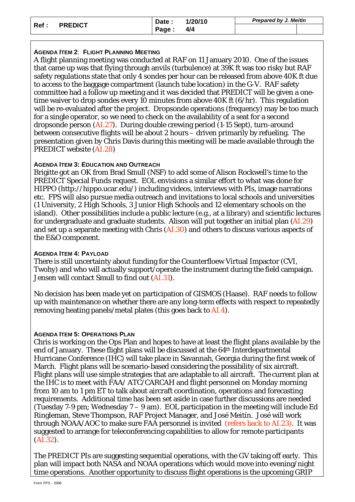| Ref : | <b>PREDICT</b> | Date : | /20/10<br>4/4 | <b>Prepared by J. Meitin</b> |  |
|-------|----------------|--------|---------------|------------------------------|--|
|       |                | Page:  |               |                              |  |

## **AGENDA ITEM 2**: **FLIGHT PLANNING MEETING**

A flight planning meeting was conducted at RAF on 11 January 2010. One of the issues that came up was that flying through anvils (turbulence) at 39K ft was too risky but RAF safety regulations state that only 4 sondes per hour can be released from above 40K ft due to access to the baggage compartment (launch tube location) in the G-V. RAF safety committee had a follow up meeting and it was decided that PREDICT will be given a onetime waiver to drop sondes every 10 minutes from above 40K ft (6/hr). This regulation will be re-evaluated after the project. Dropsonde operations (frequency) may be too much for a single operator, so we need to check on the availability of a seat for a second dropsonde person (AI.27). During double crewing period (1-15 Sept), turn-around between consecutive flights will be about 2 hours – driven primarily by refueling. The presentation given by Chris Davis during this meeting will be made available through the PREDICT website (AI.28)

## **AGENDA ITEM 3: EDUCATION AND OUTREACH**

Brigitte got an OK from Brad Smull (NSF) to add some of Alison Rockwell's time to the PREDICT Special Funds request. EOL envisions a similar effort to what was done for HIPPO (http://hippo.ucar.edu/) including videos, interviews with PIs, image narrations etc. FPS will also pursue media outreach and invitations to local schools and universities (1 University, 2 High Schools, 3 Junior High Schools and 12 elementary schools on the island). Other possibilities include a public lecture (e.g., at a library) and scientific lectures for undergraduate and graduate students. Alison will put together an initial plan (AI.29) and set up a separate meeting with Chris (AI.30) and others to discuss various aspects of the E&O component.

## **AGENDA ITEM 4: PAYLOAD**

There is still uncertainty about funding for the Counterfloew Virtual Impactor (CVI, Twohy) and who will actually support/operate the instrument during the field campaign. Jensen will contact Smull to find out (AI.31).

No decision has been made yet on participation of GISMOS (Haase). RAF needs to follow up with maintenance on whether there are any long-term effects with respect to repeatedly removing heating panels/metal plates (this goes back to AI.4).

# **AGENDA ITEM 5: OPERATIONS PLAN**

Chris is working on the Ops Plan and hopes to have at least the flight plans available by the end of January. These flight plans will be discussed at the 64th Interdepartmental Hurricane Conference (IHC) will take place in Savannah, Georgia during the first week of March. Flight plans will be scenario-based considering the possibility of six aircraft. Flight plans will use simple strategies that are adaptable to all aircraft. The current plan at the IHC is to meet with FAA/ ATC/CARCAH and flight personnel on Monday morning from 10 am to 1 pm ET to talk about aircraft coordination, operations and forecasting requirements. Additional time has been set aside in case further discussions are needed (Tuesday 7-9 pm; Wednesday 7 – 9 am). EOL participation in the meeting will include Ed Ringleman, Steve Thompson, RAF Project Manager, and José Meitín. José will work through NOAA/AOC to make sure FAA personnel is invited (refers back to AI.23). It was suggested to arrange for teleconferencing capabilities to allow for remote participants (AI.32).

The PREDICT PIs are suggesting sequential operations, with the GV taking off early. This plan will impact both NASA and NOAA operations which would move into evening/night time operations. Another opportunity to discuss flight operations is the upcoming GRIP